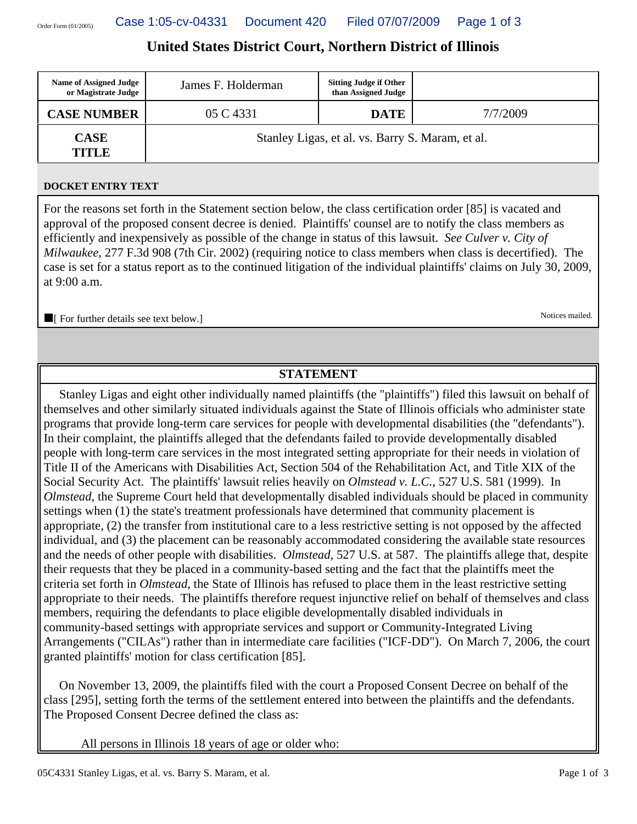## **United States District Court, Northern District of Illinois**

| <b>Name of Assigned Judge</b><br>or Magistrate Judge | James F. Holderman                               | <b>Sitting Judge if Other</b><br>than Assigned Judge |          |
|------------------------------------------------------|--------------------------------------------------|------------------------------------------------------|----------|
| <b>CASE NUMBER</b>                                   | 05 C 4331                                        | <b>DATE</b>                                          | 7/7/2009 |
| <b>CASE</b><br><b>TITLE</b>                          | Stanley Ligas, et al. vs. Barry S. Maram, et al. |                                                      |          |

## **DOCKET ENTRY TEXT**

For the reasons set forth in the Statement section below, the class certification order [85] is vacated and approval of the proposed consent decree is denied. Plaintiffs' counsel are to notify the class members as efficiently and inexpensively as possible of the change in status of this lawsuit. *See Culver v. City of Milwaukee*, 277 F.3d 908 (7th Cir. 2002) (requiring notice to class members when class is decertified). The case is set for a status report as to the continued litigation of the individual plaintiffs' claims on July 30, 2009, at 9:00 a.m.

**The Form of Form of Form of the Second Second Second Second Second Second Second Second Second Second Second Second Second Second Second Second Second Second Second Second Second Second Second Second Second Second Second** 

## **STATEMENT**

 Stanley Ligas and eight other individually named plaintiffs (the "plaintiffs") filed this lawsuit on behalf of themselves and other similarly situated individuals against the State of Illinois officials who administer state programs that provide long-term care services for people with developmental disabilities (the "defendants"). In their complaint, the plaintiffs alleged that the defendants failed to provide developmentally disabled people with long-term care services in the most integrated setting appropriate for their needs in violation of Title II of the Americans with Disabilities Act, Section 504 of the Rehabilitation Act, and Title XIX of the Social Security Act. The plaintiffs' lawsuit relies heavily on *Olmstead v. L.C.*, 527 U.S. 581 (1999). In *Olmstead*, the Supreme Court held that developmentally disabled individuals should be placed in community settings when (1) the state's treatment professionals have determined that community placement is appropriate, (2) the transfer from institutional care to a less restrictive setting is not opposed by the affected individual, and (3) the placement can be reasonably accommodated considering the available state resources and the needs of other people with disabilities. *Olmstead*, 527 U.S. at 587. The plaintiffs allege that, despite their requests that they be placed in a community-based setting and the fact that the plaintiffs meet the criteria set forth in *Olmstead*, the State of Illinois has refused to place them in the least restrictive setting appropriate to their needs. The plaintiffs therefore request injunctive relief on behalf of themselves and class members, requiring the defendants to place eligible developmentally disabled individuals in community-based settings with appropriate services and support or Community-Integrated Living Arrangements ("CILAs") rather than in intermediate care facilities ("ICF-DD"). On March 7, 2006, the court granted plaintiffs' motion for class certification [85].

 On November 13, 2009, the plaintiffs filed with the court a Proposed Consent Decree on behalf of the class [295], setting forth the terms of the settlement entered into between the plaintiffs and the defendants. The Proposed Consent Decree defined the class as:

All persons in Illinois 18 years of age or older who: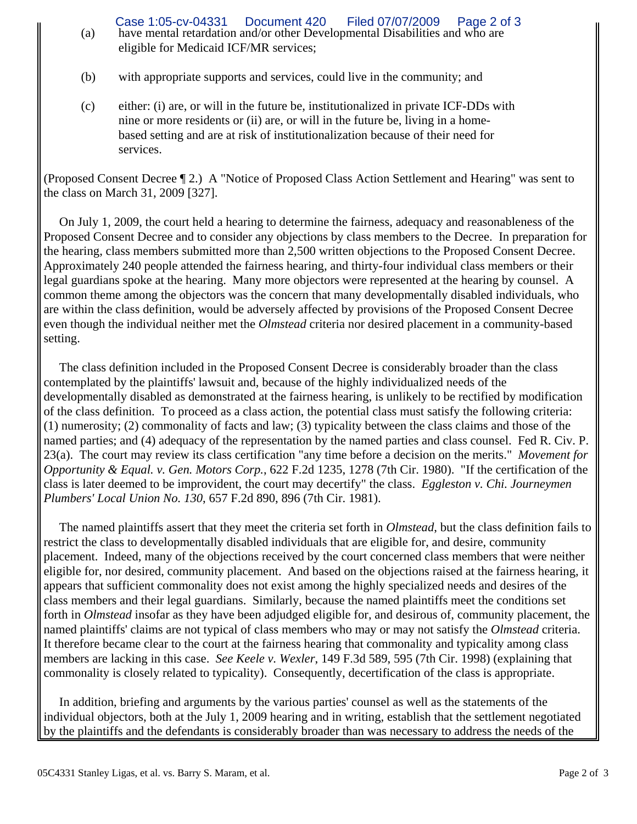(a) have mental retardation and/or other Developmental Disabilities and who are eligible for Medicaid ICF/MR services; Case 1:05-cv-04331 Document 420 Filed 07/07/2009 Page 2 of 3

- (b) with appropriate supports and services, could live in the community; and
- (c) either: (i) are, or will in the future be, institutionalized in private ICF-DDs with nine or more residents or (ii) are, or will in the future be, living in a homebased setting and are at risk of institutionalization because of their need for services.

(Proposed Consent Decree ¶ 2.) A "Notice of Proposed Class Action Settlement and Hearing" was sent to the class on March 31, 2009 [327].

 On July 1, 2009, the court held a hearing to determine the fairness, adequacy and reasonableness of the Proposed Consent Decree and to consider any objections by class members to the Decree. In preparation for the hearing, class members submitted more than 2,500 written objections to the Proposed Consent Decree. Approximately 240 people attended the fairness hearing, and thirty-four individual class members or their legal guardians spoke at the hearing. Many more objectors were represented at the hearing by counsel. A common theme among the objectors was the concern that many developmentally disabled individuals, who are within the class definition, would be adversely affected by provisions of the Proposed Consent Decree even though the individual neither met the *Olmstead* criteria nor desired placement in a community-based setting.

 The class definition included in the Proposed Consent Decree is considerably broader than the class contemplated by the plaintiffs' lawsuit and, because of the highly individualized needs of the developmentally disabled as demonstrated at the fairness hearing, is unlikely to be rectified by modification of the class definition. To proceed as a class action, the potential class must satisfy the following criteria: (1) numerosity; (2) commonality of facts and law; (3) typicality between the class claims and those of the named parties; and (4) adequacy of the representation by the named parties and class counsel. Fed R. Civ. P. 23(a). The court may review its class certification "any time before a decision on the merits." *Movement for Opportunity & Equal. v. Gen. Motors Corp.*, 622 F.2d 1235, 1278 (7th Cir. 1980). "If the certification of the class is later deemed to be improvident, the court may decertify" the class. *Eggleston v. Chi. Journeymen Plumbers' Local Union No. 130*, 657 F.2d 890, 896 (7th Cir. 1981).

 The named plaintiffs assert that they meet the criteria set forth in *Olmstead*, but the class definition fails to restrict the class to developmentally disabled individuals that are eligible for, and desire, community placement. Indeed, many of the objections received by the court concerned class members that were neither eligible for, nor desired, community placement. And based on the objections raised at the fairness hearing, it appears that sufficient commonality does not exist among the highly specialized needs and desires of the class members and their legal guardians. Similarly, because the named plaintiffs meet the conditions set forth in *Olmstead* insofar as they have been adjudged eligible for, and desirous of, community placement, the named plaintiffs' claims are not typical of class members who may or may not satisfy the *Olmstead* criteria. It therefore became clear to the court at the fairness hearing that commonality and typicality among class members are lacking in this case. *See Keele v. Wexler*, 149 F.3d 589, 595 (7th Cir. 1998) (explaining that commonality is closely related to typicality). Consequently, decertification of the class is appropriate.

 In addition, briefing and arguments by the various parties' counsel as well as the statements of the individual objectors, both at the July 1, 2009 hearing and in writing, establish that the settlement negotiated by the plaintiffs and the defendants is considerably broader than was necessary to address the needs of the